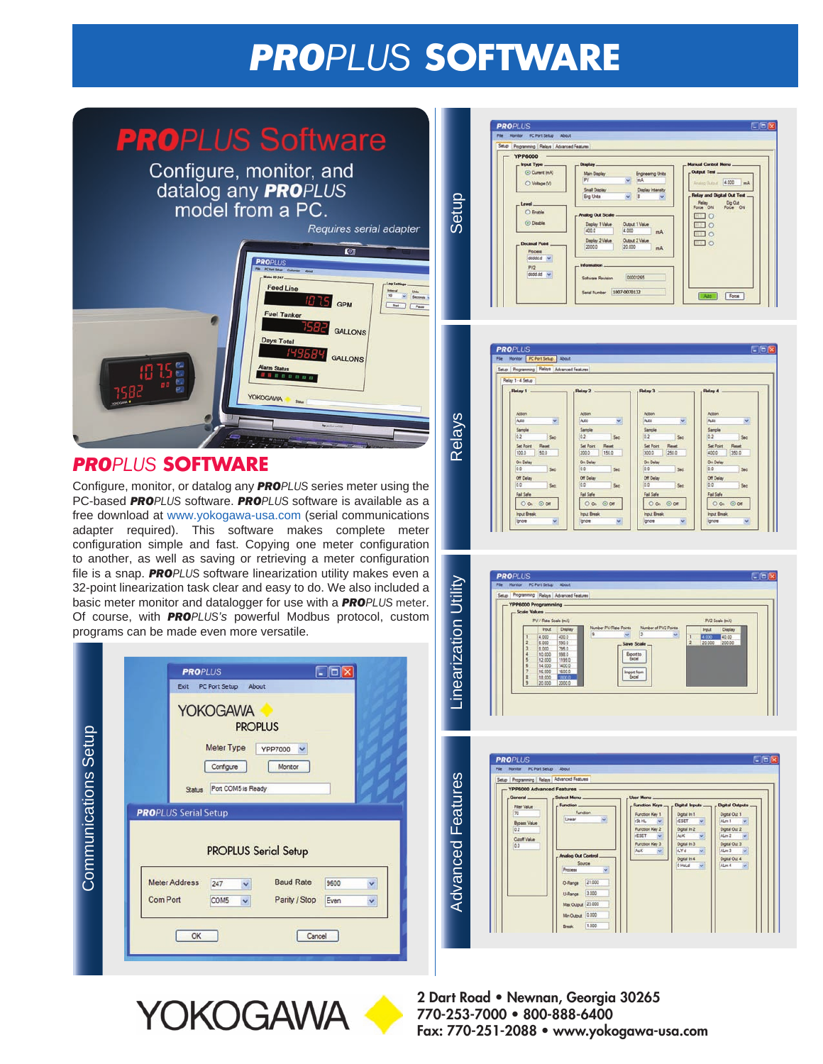# *PROPLUS* **SOFTWARE**



## *PROPLUS* **SOFTWARE**

Configure, monitor, or datalog any *PROPLUS* series meter using the PC-based *PROPLUS* software. *PROPLUS* software is available as a free download at www.yokogawa-usa.com (serial communications adapter required). This software makes complete meter configuration simple and fast. Copying one meter configuration to another, as well as saving or retrieving a meter configuration file is a snap. *PROPLUS* software linearization utility makes even a 32-point linearization task clear and easy to do. We also included a basic meter monitor and datalogger for use with a *PROPLUS* meter. Of course, with *PROPLUS's* powerful Modbus protocol, custom programs can be made even more versatile.

|                      | <b>PROPLUS</b><br>PC Port Setup<br>Exit                                                                    | About                                                                           | 1101         |        |
|----------------------|------------------------------------------------------------------------------------------------------------|---------------------------------------------------------------------------------|--------------|--------|
| Communications Setup | <b>YOKOGAWA</b><br>Meter Type<br>Configure<br>Port COM5 is Ready<br>Status<br><b>PRO</b> PLUS Serial Setup | <b>PROPLUS</b><br><b>YPP7000</b><br>v<br>Monitor<br><b>PROPLUS Serial Setup</b> |              |        |
|                      | <b>Meter Address</b><br>247<br>Ÿ<br><b>Com Port</b><br>COM5<br>$\checkmark$                                | <b>Baud Rate</b><br>Parity / Stop                                               | 9600<br>Even | Y<br>× |
|                      | OK                                                                                                         | Cancel                                                                          |              |        |











**2 Dart Road • Newnan, Georgia 30265 770-253-7000 • 800-888-6400 Fax: 770-251-2088 • www.yokogawa-usa.com**